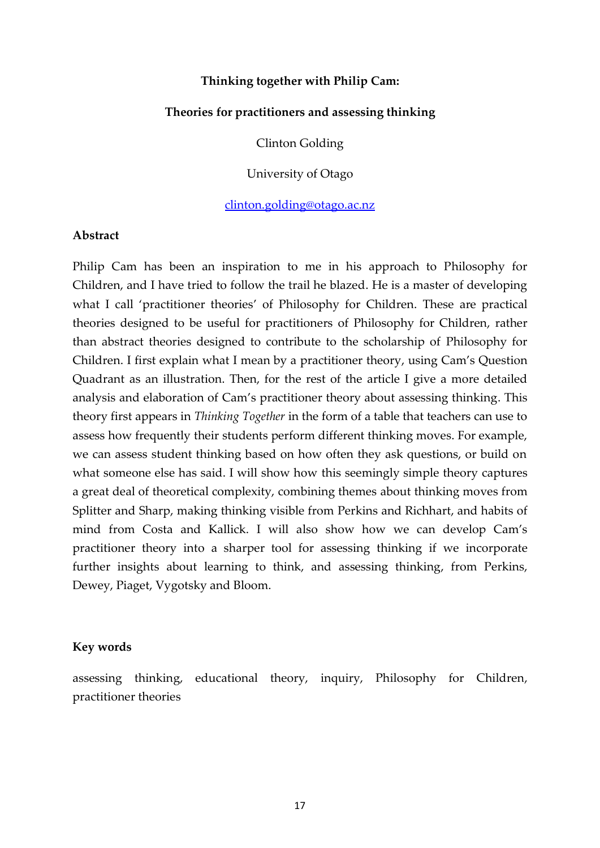#### **Thinking together with Philip Cam:**

#### **Theories for practitioners and assessing thinking**

Clinton Golding

University of Otago

[clinton.golding@otago.ac.nz](mailto:clinton.golding@otago.ac.nz)

#### **Abstract**

Philip Cam has been an inspiration to me in his approach to Philosophy for Children, and I have tried to follow the trail he blazed. He is a master of developing what I call 'practitioner theories' of Philosophy for Children. These are practical theories designed to be useful for practitioners of Philosophy for Children, rather than abstract theories designed to contribute to the scholarship of Philosophy for Children. I first explain what I mean by a practitioner theory, using Cam's Question Quadrant as an illustration. Then, for the rest of the article I give a more detailed analysis and elaboration of Cam's practitioner theory about assessing thinking. This theory first appears in *Thinking Together* in the form of a table that teachers can use to assess how frequently their students perform different thinking moves. For example, we can assess student thinking based on how often they ask questions, or build on what someone else has said. I will show how this seemingly simple theory captures a great deal of theoretical complexity, combining themes about thinking moves from Splitter and Sharp, making thinking visible from Perkins and Richhart, and habits of mind from Costa and Kallick. I will also show how we can develop Cam's practitioner theory into a sharper tool for assessing thinking if we incorporate further insights about learning to think, and assessing thinking, from Perkins, Dewey, Piaget, Vygotsky and Bloom.

#### **Key words**

assessing thinking, educational theory, inquiry, Philosophy for Children, practitioner theories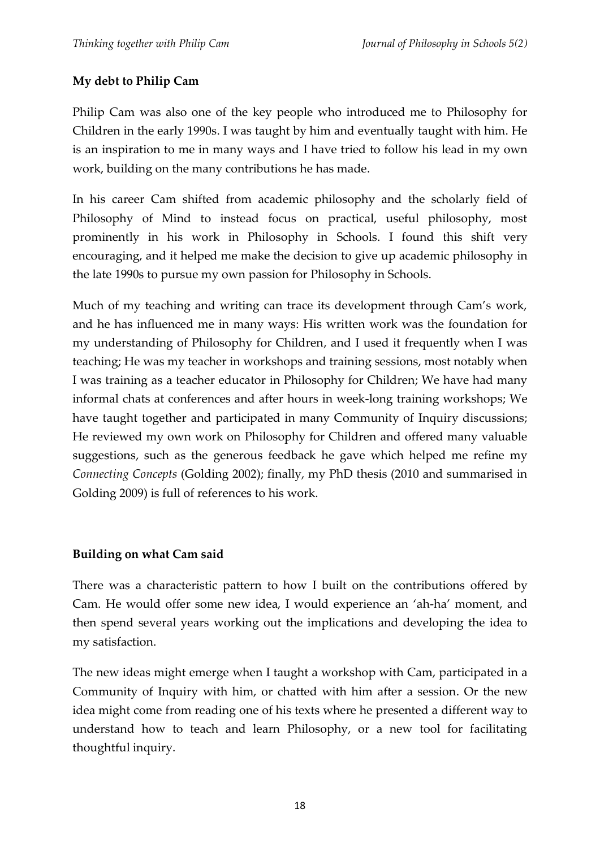# **My debt to Philip Cam**

Philip Cam was also one of the key people who introduced me to Philosophy for Children in the early 1990s. I was taught by him and eventually taught with him. He is an inspiration to me in many ways and I have tried to follow his lead in my own work, building on the many contributions he has made.

In his career Cam shifted from academic philosophy and the scholarly field of Philosophy of Mind to instead focus on practical, useful philosophy, most prominently in his work in Philosophy in Schools. I found this shift very encouraging, and it helped me make the decision to give up academic philosophy in the late 1990s to pursue my own passion for Philosophy in Schools.

Much of my teaching and writing can trace its development through Cam's work, and he has influenced me in many ways: His written work was the foundation for my understanding of Philosophy for Children, and I used it frequently when I was teaching; He was my teacher in workshops and training sessions, most notably when I was training as a teacher educator in Philosophy for Children; We have had many informal chats at conferences and after hours in week-long training workshops; We have taught together and participated in many Community of Inquiry discussions; He reviewed my own work on Philosophy for Children and offered many valuable suggestions, such as the generous feedback he gave which helped me refine my *Connecting Concepts* (Golding 2002); finally, my PhD thesis (2010 and summarised in Golding 2009) is full of references to his work.

## **Building on what Cam said**

There was a characteristic pattern to how I built on the contributions offered by Cam. He would offer some new idea, I would experience an 'ah-ha' moment, and then spend several years working out the implications and developing the idea to my satisfaction.

The new ideas might emerge when I taught a workshop with Cam, participated in a Community of Inquiry with him, or chatted with him after a session. Or the new idea might come from reading one of his texts where he presented a different way to understand how to teach and learn Philosophy, or a new tool for facilitating thoughtful inquiry.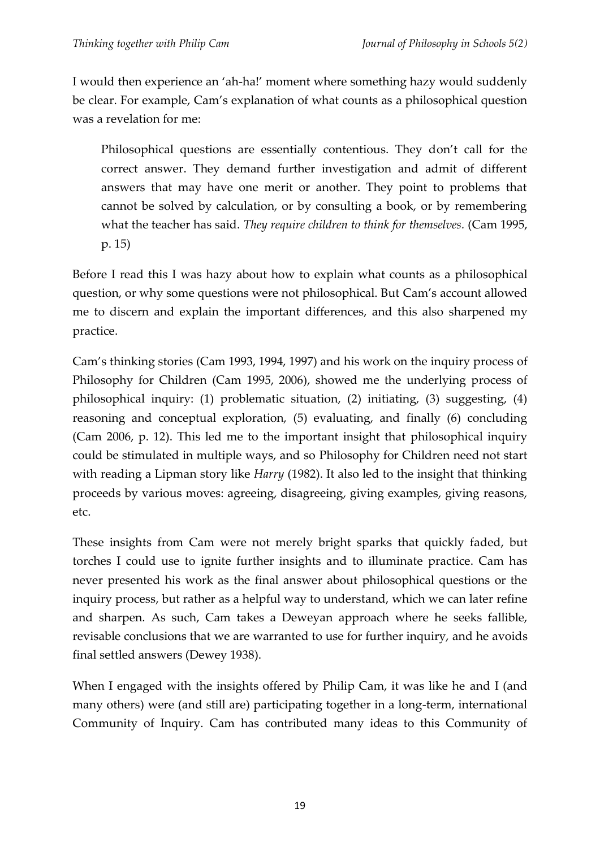I would then experience an 'ah-ha!' moment where something hazy would suddenly be clear. For example, Cam's explanation of what counts as a philosophical question was a revelation for me:

Philosophical questions are essentially contentious. They don't call for the correct answer. They demand further investigation and admit of different answers that may have one merit or another. They point to problems that cannot be solved by calculation, or by consulting a book, or by remembering what the teacher has said. *They require children to think for themselves.* (Cam 1995, p. 15)

Before I read this I was hazy about how to explain what counts as a philosophical question, or why some questions were not philosophical. But Cam's account allowed me to discern and explain the important differences, and this also sharpened my practice.

Cam's thinking stories (Cam 1993, 1994, 1997) and his work on the inquiry process of Philosophy for Children (Cam 1995, 2006), showed me the underlying process of philosophical inquiry: (1) problematic situation, (2) initiating, (3) suggesting, (4) reasoning and conceptual exploration, (5) evaluating, and finally (6) concluding (Cam 2006, p. 12). This led me to the important insight that philosophical inquiry could be stimulated in multiple ways, and so Philosophy for Children need not start with reading a Lipman story like *Harry* (1982). It also led to the insight that thinking proceeds by various moves: agreeing, disagreeing, giving examples, giving reasons, etc.

These insights from Cam were not merely bright sparks that quickly faded, but torches I could use to ignite further insights and to illuminate practice. Cam has never presented his work as the final answer about philosophical questions or the inquiry process, but rather as a helpful way to understand, which we can later refine and sharpen. As such, Cam takes a Deweyan approach where he seeks fallible, revisable conclusions that we are warranted to use for further inquiry, and he avoids final settled answers (Dewey 1938).

When I engaged with the insights offered by Philip Cam, it was like he and I (and many others) were (and still are) participating together in a long-term, international Community of Inquiry. Cam has contributed many ideas to this Community of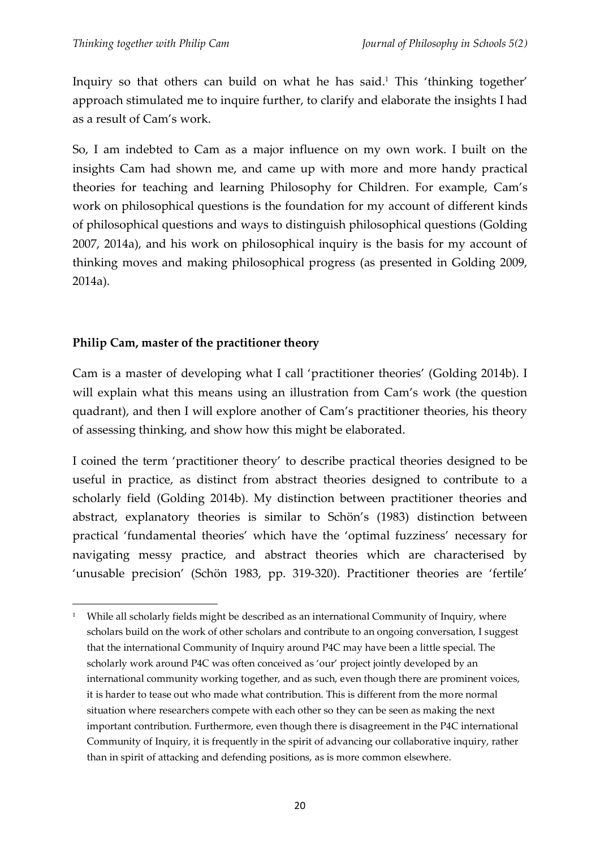Inquiry so that others can build on what he has said.<sup>1</sup> This 'thinking together' approach stimulated me to inquire further, to clarify and elaborate the insights I had as a result of Cam's work.

So, I am indebted to Cam as a major influence on my own work. I built on the insights Cam had shown me, and came up with more and more handy practical theories for teaching and learning Philosophy for Children. For example, Cam's work on philosophical questions is the foundation for my account of different kinds of philosophical questions and ways to distinguish philosophical questions (Golding 2007, 2014a), and his work on philosophical inquiry is the basis for my account of thinking moves and making philosophical progress (as presented in Golding 2009, 2014a).

# **Philip Cam, master of the practitioner theory**

Cam is a master of developing what I call 'practitioner theories' (Golding 2014b). I will explain what this means using an illustration from Cam's work (the question quadrant), and then I will explore another of Cam's practitioner theories, his theory of assessing thinking, and show how this might be elaborated.

I coined the term 'practitioner theory' to describe practical theories designed to be useful in practice, as distinct from abstract theories designed to contribute to a scholarly field (Golding 2014b). My distinction between practitioner theories and abstract, explanatory theories is similar to Schön's (1983) distinction between practical 'fundamental theories' which have the 'optimal fuzziness' necessary for navigating messy practice, and abstract theories which are characterised by 'unusable precision' (Schön 1983, pp. 319-320). Practitioner theories are 'fertile'

<sup>1</sup> <sup>1</sup> While all scholarly fields might be described as an international Community of Inquiry, where scholars build on the work of other scholars and contribute to an ongoing conversation, I suggest that the international Community of Inquiry around P4C may have been a little special. The scholarly work around P4C was often conceived as 'our' project jointly developed by an international community working together, and as such, even though there are prominent voices, it is harder to tease out who made what contribution. This is different from the more normal situation where researchers compete with each other so they can be seen as making the next important contribution. Furthermore, even though there is disagreement in the P4C international Community of Inquiry, it is frequently in the spirit of advancing our collaborative inquiry, rather than in spirit of attacking and defending positions, as is more common elsewhere.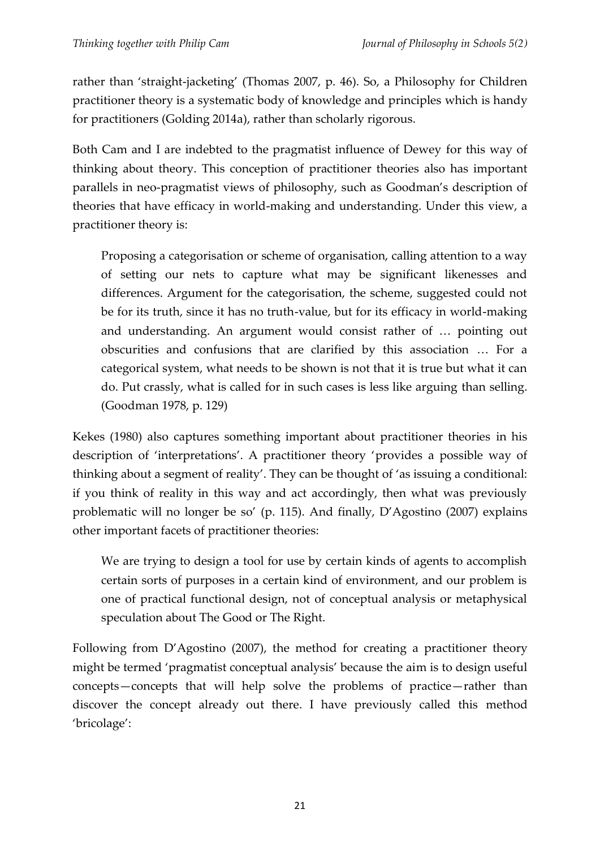rather than 'straight-jacketing' (Thomas 2007, p. 46). So, a Philosophy for Children practitioner theory is a systematic body of knowledge and principles which is handy for practitioners (Golding 2014a), rather than scholarly rigorous.

Both Cam and I are indebted to the pragmatist influence of Dewey for this way of thinking about theory. This conception of practitioner theories also has important parallels in neo-pragmatist views of philosophy, such as Goodman's description of theories that have efficacy in world-making and understanding. Under this view, a practitioner theory is:

Proposing a categorisation or scheme of organisation, calling attention to a way of setting our nets to capture what may be significant likenesses and differences. Argument for the categorisation, the scheme, suggested could not be for its truth, since it has no truth-value, but for its efficacy in world-making and understanding. An argument would consist rather of … pointing out obscurities and confusions that are clarified by this association … For a categorical system, what needs to be shown is not that it is true but what it can do. Put crassly, what is called for in such cases is less like arguing than selling. (Goodman 1978, p. 129)

Kekes (1980) also captures something important about practitioner theories in his description of 'interpretations'. A practitioner theory 'provides a possible way of thinking about a segment of reality'. They can be thought of 'as issuing a conditional: if you think of reality in this way and act accordingly, then what was previously problematic will no longer be so' (p. 115). And finally, D'Agostino (2007) explains other important facets of practitioner theories:

We are trying to design a tool for use by certain kinds of agents to accomplish certain sorts of purposes in a certain kind of environment, and our problem is one of practical functional design, not of conceptual analysis or metaphysical speculation about The Good or The Right.

Following from D'Agostino (2007), the method for creating a practitioner theory might be termed 'pragmatist conceptual analysis' because the aim is to design useful concepts—concepts that will help solve the problems of practice—rather than discover the concept already out there. I have previously called this method 'bricolage':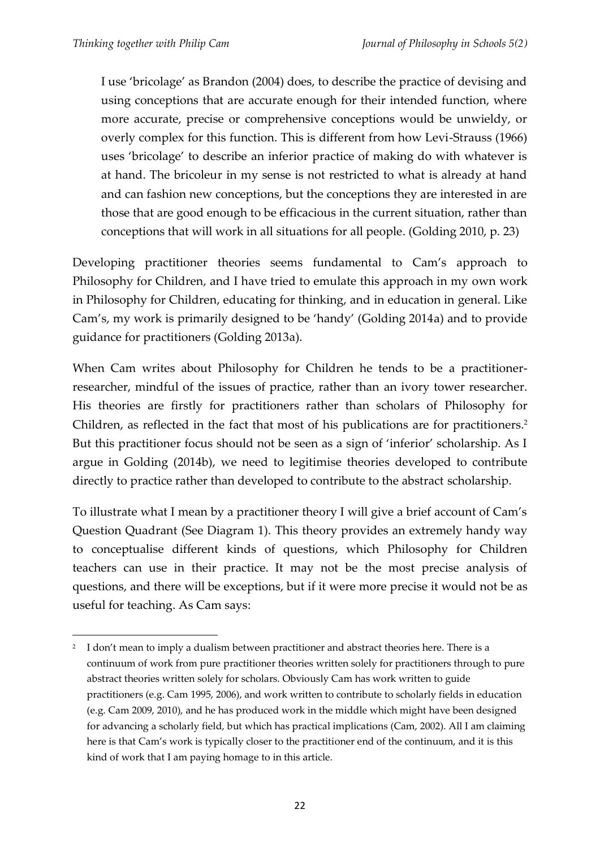1

I use 'bricolage' as Brandon (2004) does, to describe the practice of devising and using conceptions that are accurate enough for their intended function, where more accurate, precise or comprehensive conceptions would be unwieldy, or overly complex for this function. This is different from how Levi-Strauss (1966) uses 'bricolage' to describe an inferior practice of making do with whatever is at hand. The bricoleur in my sense is not restricted to what is already at hand and can fashion new conceptions, but the conceptions they are interested in are those that are good enough to be efficacious in the current situation, rather than conceptions that will work in all situations for all people. (Golding 2010, p. 23)

Developing practitioner theories seems fundamental to Cam's approach to Philosophy for Children, and I have tried to emulate this approach in my own work in Philosophy for Children, educating for thinking, and in education in general. Like Cam's, my work is primarily designed to be 'handy' (Golding 2014a) and to provide guidance for practitioners (Golding 2013a).

When Cam writes about Philosophy for Children he tends to be a practitionerresearcher, mindful of the issues of practice, rather than an ivory tower researcher. His theories are firstly for practitioners rather than scholars of Philosophy for Children, as reflected in the fact that most of his publications are for practitioners.<sup>2</sup> But this practitioner focus should not be seen as a sign of 'inferior' scholarship. As I argue in Golding (2014b), we need to legitimise theories developed to contribute directly to practice rather than developed to contribute to the abstract scholarship.

To illustrate what I mean by a practitioner theory I will give a brief account of Cam's Question Quadrant (See Diagram 1). This theory provides an extremely handy way to conceptualise different kinds of questions, which Philosophy for Children teachers can use in their practice. It may not be the most precise analysis of questions, and there will be exceptions, but if it were more precise it would not be as useful for teaching. As Cam says:

<sup>2</sup> I don't mean to imply a dualism between practitioner and abstract theories here. There is a continuum of work from pure practitioner theories written solely for practitioners through to pure abstract theories written solely for scholars. Obviously Cam has work written to guide practitioners (e.g. Cam 1995, 2006), and work written to contribute to scholarly fields in education (e.g. Cam 2009, 2010), and he has produced work in the middle which might have been designed for advancing a scholarly field, but which has practical implications (Cam, 2002). All I am claiming here is that Cam's work is typically closer to the practitioner end of the continuum, and it is this kind of work that I am paying homage to in this article.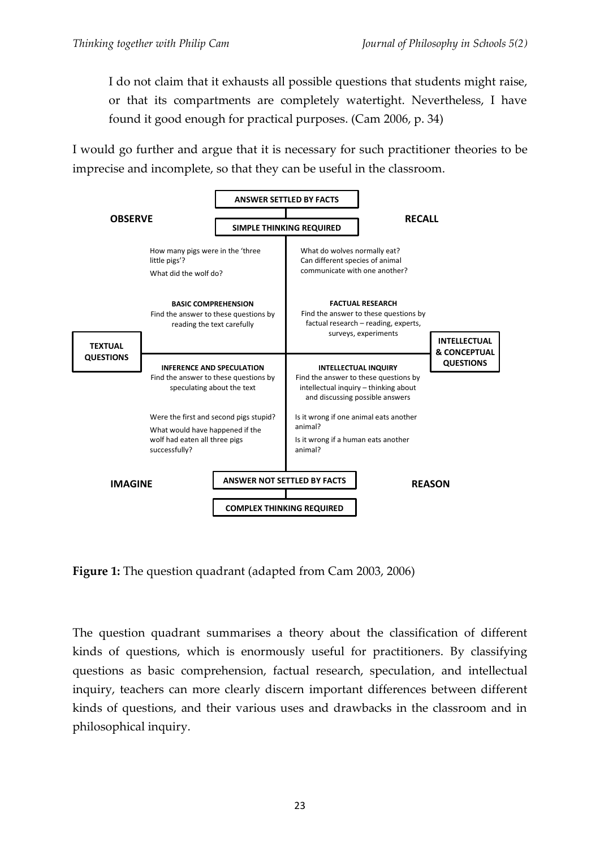I do not claim that it exhausts all possible questions that students might raise, or that its compartments are completely watertight. Nevertheless, I have found it good enough for practical purposes. (Cam 2006, p. 34)

I would go further and argue that it is necessary for such practitioner theories to be imprecise and incomplete, so that they can be useful in the classroom.



**Figure 1:** The question quadrant (adapted from Cam 2003, 2006)

The question quadrant summarises a theory about the classification of different kinds of questions, which is enormously useful for practitioners. By classifying questions as basic comprehension, factual research, speculation, and intellectual inquiry, teachers can more clearly discern important differences between different kinds of questions, and their various uses and drawbacks in the classroom and in philosophical inquiry.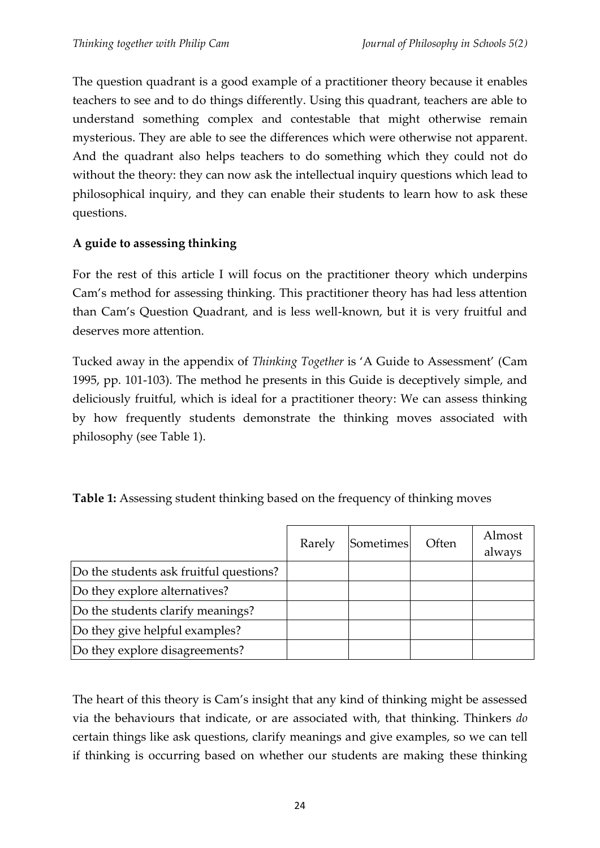The question quadrant is a good example of a practitioner theory because it enables teachers to see and to do things differently. Using this quadrant, teachers are able to understand something complex and contestable that might otherwise remain mysterious. They are able to see the differences which were otherwise not apparent. And the quadrant also helps teachers to do something which they could not do without the theory: they can now ask the intellectual inquiry questions which lead to philosophical inquiry, and they can enable their students to learn how to ask these questions.

## **A guide to assessing thinking**

For the rest of this article I will focus on the practitioner theory which underpins Cam's method for assessing thinking. This practitioner theory has had less attention than Cam's Question Quadrant, and is less well-known, but it is very fruitful and deserves more attention.

Tucked away in the appendix of *Thinking Together* is 'A Guide to Assessment' (Cam 1995, pp. 101-103). The method he presents in this Guide is deceptively simple, and deliciously fruitful, which is ideal for a practitioner theory: We can assess thinking by how frequently students demonstrate the thinking moves associated with philosophy (see Table 1).

| Table 1: Assessing student thinking based on the frequency of thinking moves |  |  |  |
|------------------------------------------------------------------------------|--|--|--|
|------------------------------------------------------------------------------|--|--|--|

|                                         | Rarely | Sometimes | Often | Almost<br>always |
|-----------------------------------------|--------|-----------|-------|------------------|
| Do the students ask fruitful questions? |        |           |       |                  |
| Do they explore alternatives?           |        |           |       |                  |
| Do the students clarify meanings?       |        |           |       |                  |
| Do they give helpful examples?          |        |           |       |                  |
| Do they explore disagreements?          |        |           |       |                  |

The heart of this theory is Cam's insight that any kind of thinking might be assessed via the behaviours that indicate, or are associated with, that thinking. Thinkers *do* certain things like ask questions, clarify meanings and give examples, so we can tell if thinking is occurring based on whether our students are making these thinking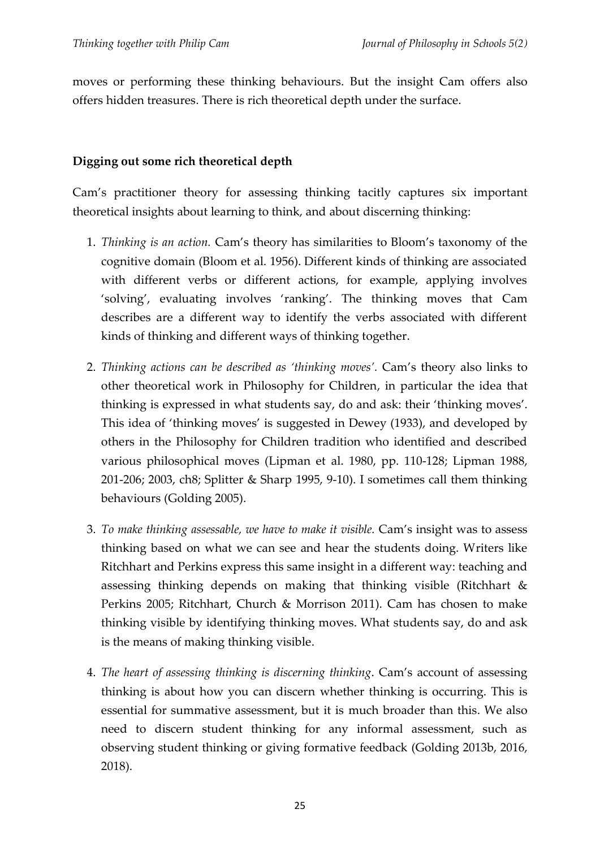moves or performing these thinking behaviours. But the insight Cam offers also offers hidden treasures. There is rich theoretical depth under the surface.

### **Digging out some rich theoretical depth**

Cam's practitioner theory for assessing thinking tacitly captures six important theoretical insights about learning to think, and about discerning thinking:

- 1. *Thinking is an action.* Cam's theory has similarities to Bloom's taxonomy of the cognitive domain (Bloom et al. 1956). Different kinds of thinking are associated with different verbs or different actions, for example, applying involves 'solving', evaluating involves 'ranking'. The thinking moves that Cam describes are a different way to identify the verbs associated with different kinds of thinking and different ways of thinking together.
- 2. *Thinking actions can be described as 'thinking moves'.* Cam's theory also links to other theoretical work in Philosophy for Children, in particular the idea that thinking is expressed in what students say, do and ask: their 'thinking moves'. This idea of 'thinking moves' is suggested in Dewey (1933), and developed by others in the Philosophy for Children tradition who identified and described various philosophical moves (Lipman et al. 1980, pp. 110-128; Lipman 1988, 201-206; 2003, ch8; Splitter & Sharp 1995, 9-10). I sometimes call them thinking behaviours (Golding 2005).
- 3. *To make thinking assessable, we have to make it visible.* Cam's insight was to assess thinking based on what we can see and hear the students doing. Writers like Ritchhart and Perkins express this same insight in a different way: teaching and assessing thinking depends on making that thinking visible (Ritchhart & Perkins 2005; Ritchhart, Church & Morrison 2011). Cam has chosen to make thinking visible by identifying thinking moves. What students say, do and ask is the means of making thinking visible.
- 4. *The heart of assessing thinking is discerning thinking*. Cam's account of assessing thinking is about how you can discern whether thinking is occurring. This is essential for summative assessment, but it is much broader than this. We also need to discern student thinking for any informal assessment, such as observing student thinking or giving formative feedback (Golding 2013b, 2016, 2018).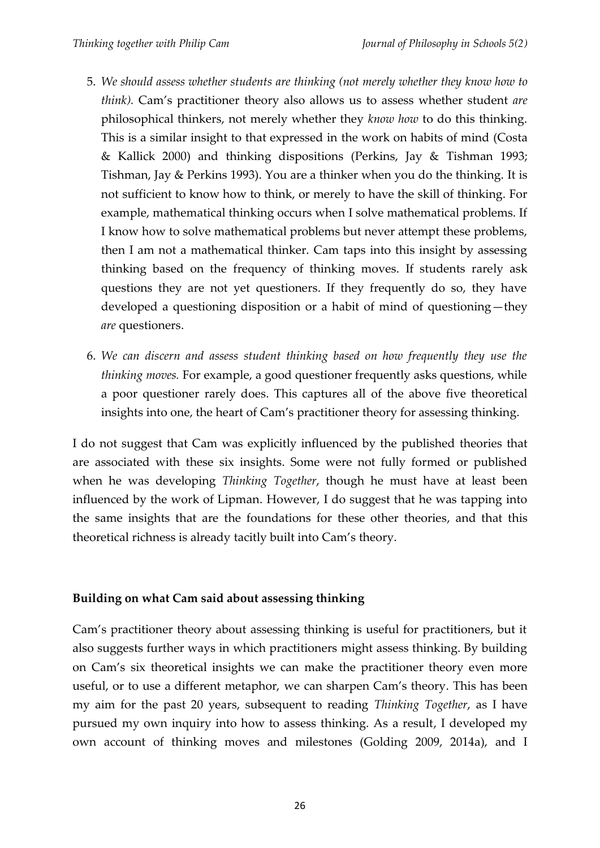- 5. *We should assess whether students are thinking (not merely whether they know how to think).* Cam's practitioner theory also allows us to assess whether student *are* philosophical thinkers, not merely whether they *know how* to do this thinking. This is a similar insight to that expressed in the work on habits of mind (Costa & Kallick 2000) and thinking dispositions (Perkins, Jay & Tishman 1993; Tishman, Jay & Perkins 1993). You are a thinker when you do the thinking. It is not sufficient to know how to think, or merely to have the skill of thinking. For example, mathematical thinking occurs when I solve mathematical problems. If I know how to solve mathematical problems but never attempt these problems, then I am not a mathematical thinker. Cam taps into this insight by assessing thinking based on the frequency of thinking moves. If students rarely ask questions they are not yet questioners. If they frequently do so, they have developed a questioning disposition or a habit of mind of questioning—they *are* questioners.
- 6. *We can discern and assess student thinking based on how frequently they use the thinking moves.* For example, a good questioner frequently asks questions, while a poor questioner rarely does. This captures all of the above five theoretical insights into one, the heart of Cam's practitioner theory for assessing thinking.

I do not suggest that Cam was explicitly influenced by the published theories that are associated with these six insights. Some were not fully formed or published when he was developing *Thinking Together*, though he must have at least been influenced by the work of Lipman. However, I do suggest that he was tapping into the same insights that are the foundations for these other theories, and that this theoretical richness is already tacitly built into Cam's theory.

## **Building on what Cam said about assessing thinking**

Cam's practitioner theory about assessing thinking is useful for practitioners, but it also suggests further ways in which practitioners might assess thinking. By building on Cam's six theoretical insights we can make the practitioner theory even more useful, or to use a different metaphor, we can sharpen Cam's theory. This has been my aim for the past 20 years, subsequent to reading *Thinking Together*, as I have pursued my own inquiry into how to assess thinking. As a result, I developed my own account of thinking moves and milestones (Golding 2009, 2014a), and I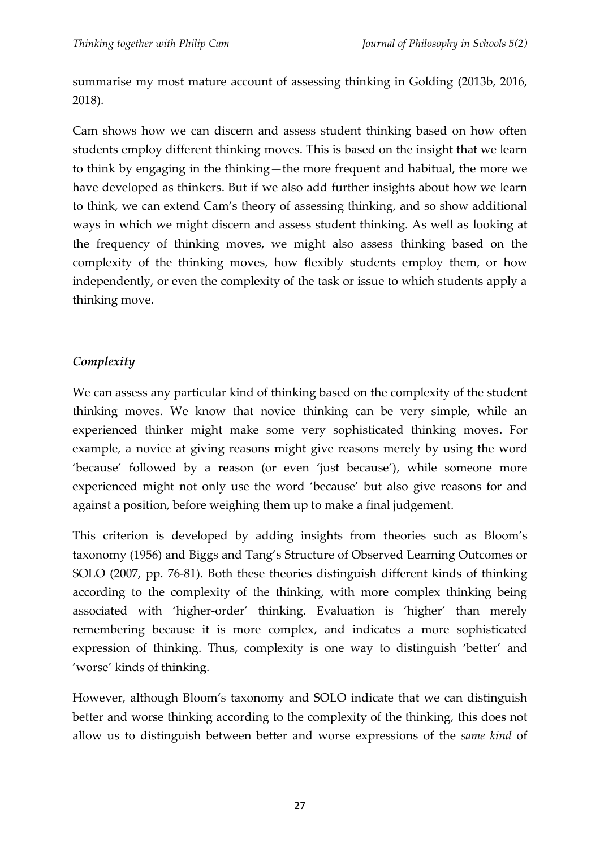summarise my most mature account of assessing thinking in Golding (2013b, 2016, 2018).

Cam shows how we can discern and assess student thinking based on how often students employ different thinking moves. This is based on the insight that we learn to think by engaging in the thinking—the more frequent and habitual, the more we have developed as thinkers. But if we also add further insights about how we learn to think, we can extend Cam's theory of assessing thinking, and so show additional ways in which we might discern and assess student thinking. As well as looking at the frequency of thinking moves, we might also assess thinking based on the complexity of the thinking moves, how flexibly students employ them, or how independently, or even the complexity of the task or issue to which students apply a thinking move.

### *Complexity*

We can assess any particular kind of thinking based on the complexity of the student thinking moves. We know that novice thinking can be very simple, while an experienced thinker might make some very sophisticated thinking moves. For example, a novice at giving reasons might give reasons merely by using the word 'because' followed by a reason (or even 'just because'), while someone more experienced might not only use the word 'because' but also give reasons for and against a position, before weighing them up to make a final judgement.

This criterion is developed by adding insights from theories such as Bloom's taxonomy (1956) and Biggs and Tang's Structure of Observed Learning Outcomes or SOLO (2007, pp. 76-81). Both these theories distinguish different kinds of thinking according to the complexity of the thinking, with more complex thinking being associated with 'higher-order' thinking. Evaluation is 'higher' than merely remembering because it is more complex, and indicates a more sophisticated expression of thinking. Thus, complexity is one way to distinguish 'better' and 'worse' kinds of thinking.

However, although Bloom's taxonomy and SOLO indicate that we can distinguish better and worse thinking according to the complexity of the thinking, this does not allow us to distinguish between better and worse expressions of the *same kind* of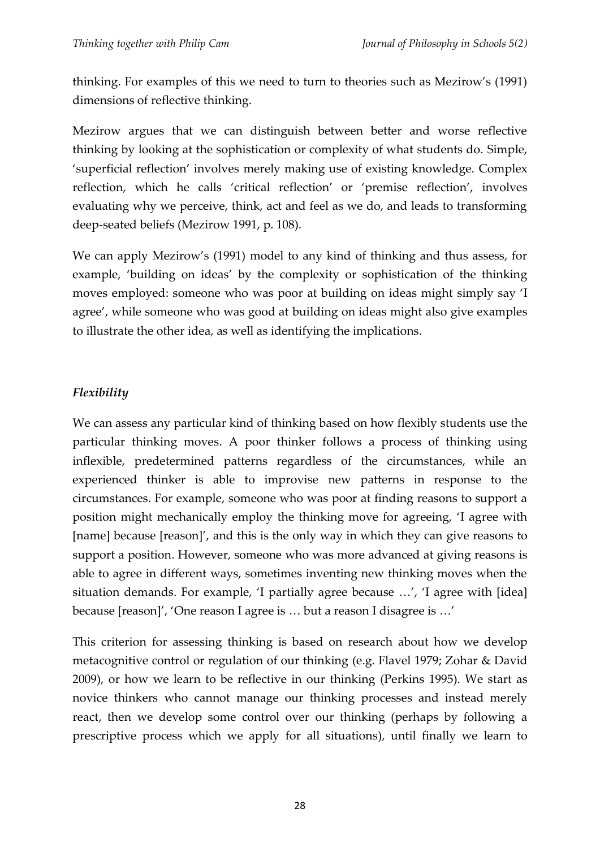thinking. For examples of this we need to turn to theories such as Mezirow's (1991) dimensions of reflective thinking.

Mezirow argues that we can distinguish between better and worse reflective thinking by looking at the sophistication or complexity of what students do. Simple, 'superficial reflection' involves merely making use of existing knowledge. Complex reflection, which he calls 'critical reflection' or 'premise reflection', involves evaluating why we perceive, think, act and feel as we do, and leads to transforming deep-seated beliefs (Mezirow 1991, p. 108).

We can apply Mezirow's (1991) model to any kind of thinking and thus assess, for example, 'building on ideas' by the complexity or sophistication of the thinking moves employed: someone who was poor at building on ideas might simply say 'I agree', while someone who was good at building on ideas might also give examples to illustrate the other idea, as well as identifying the implications.

# *Flexibility*

We can assess any particular kind of thinking based on how flexibly students use the particular thinking moves. A poor thinker follows a process of thinking using inflexible, predetermined patterns regardless of the circumstances, while an experienced thinker is able to improvise new patterns in response to the circumstances. For example, someone who was poor at finding reasons to support a position might mechanically employ the thinking move for agreeing, 'I agree with [name] because [reason]', and this is the only way in which they can give reasons to support a position. However, someone who was more advanced at giving reasons is able to agree in different ways, sometimes inventing new thinking moves when the situation demands. For example, 'I partially agree because …', 'I agree with [idea] because [reason]', 'One reason I agree is ... but a reason I disagree is ...'

This criterion for assessing thinking is based on research about how we develop metacognitive control or regulation of our thinking (e.g. Flavel 1979; Zohar & David 2009), or how we learn to be reflective in our thinking (Perkins 1995). We start as novice thinkers who cannot manage our thinking processes and instead merely react, then we develop some control over our thinking (perhaps by following a prescriptive process which we apply for all situations), until finally we learn to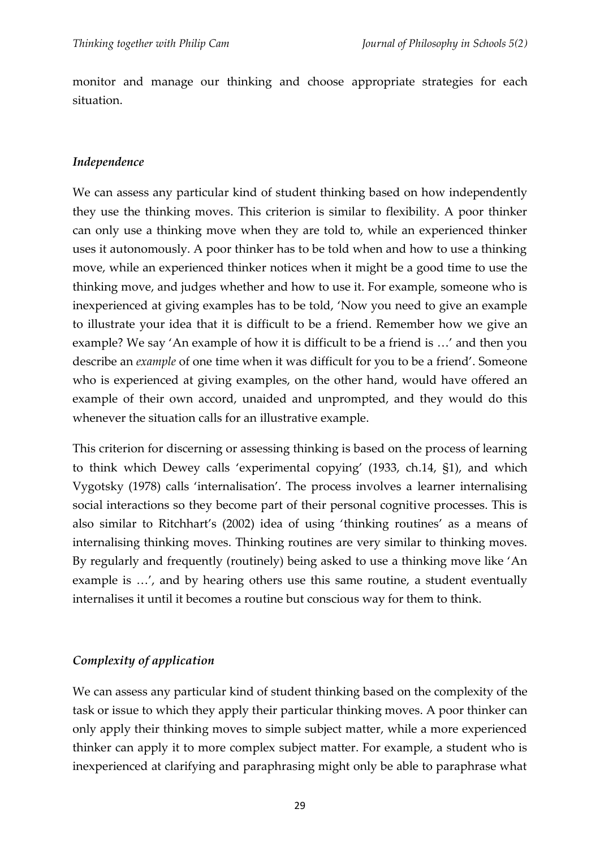monitor and manage our thinking and choose appropriate strategies for each situation.

#### *Independence*

We can assess any particular kind of student thinking based on how independently they use the thinking moves. This criterion is similar to flexibility. A poor thinker can only use a thinking move when they are told to, while an experienced thinker uses it autonomously. A poor thinker has to be told when and how to use a thinking move, while an experienced thinker notices when it might be a good time to use the thinking move, and judges whether and how to use it. For example, someone who is inexperienced at giving examples has to be told, 'Now you need to give an example to illustrate your idea that it is difficult to be a friend. Remember how we give an example? We say 'An example of how it is difficult to be a friend is …' and then you describe an *example* of one time when it was difficult for you to be a friend'. Someone who is experienced at giving examples, on the other hand, would have offered an example of their own accord, unaided and unprompted, and they would do this whenever the situation calls for an illustrative example.

This criterion for discerning or assessing thinking is based on the process of learning to think which Dewey calls 'experimental copying' (1933, ch.14, §1), and which Vygotsky (1978) calls 'internalisation'. The process involves a learner internalising social interactions so they become part of their personal cognitive processes. This is also similar to Ritchhart's (2002) idea of using 'thinking routines' as a means of internalising thinking moves. Thinking routines are very similar to thinking moves. By regularly and frequently (routinely) being asked to use a thinking move like 'An example is …', and by hearing others use this same routine, a student eventually internalises it until it becomes a routine but conscious way for them to think.

#### *Complexity of application*

We can assess any particular kind of student thinking based on the complexity of the task or issue to which they apply their particular thinking moves. A poor thinker can only apply their thinking moves to simple subject matter, while a more experienced thinker can apply it to more complex subject matter. For example, a student who is inexperienced at clarifying and paraphrasing might only be able to paraphrase what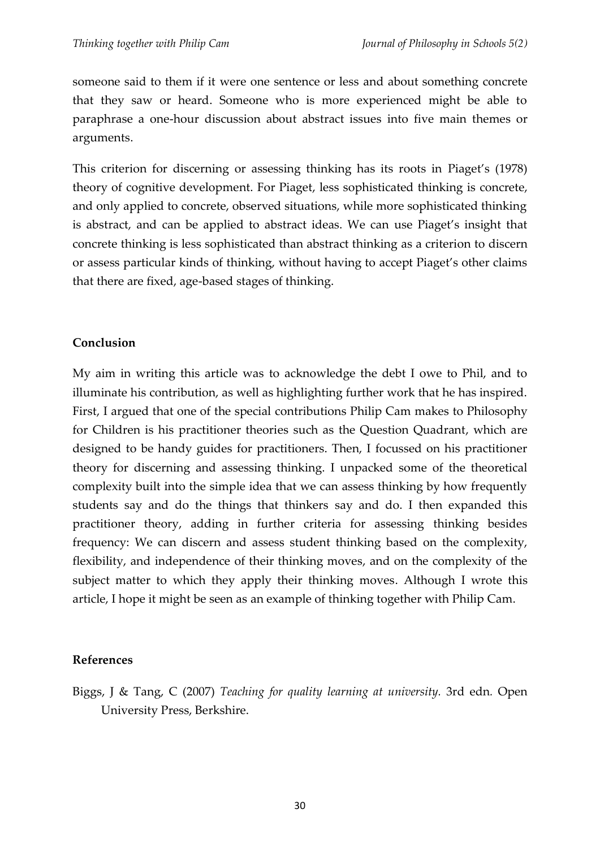someone said to them if it were one sentence or less and about something concrete that they saw or heard. Someone who is more experienced might be able to paraphrase a one-hour discussion about abstract issues into five main themes or arguments.

This criterion for discerning or assessing thinking has its roots in Piaget's (1978) theory of cognitive development. For Piaget, less sophisticated thinking is concrete, and only applied to concrete, observed situations, while more sophisticated thinking is abstract, and can be applied to abstract ideas. We can use Piaget's insight that concrete thinking is less sophisticated than abstract thinking as a criterion to discern or assess particular kinds of thinking, without having to accept Piaget's other claims that there are fixed, age-based stages of thinking.

#### **Conclusion**

My aim in writing this article was to acknowledge the debt I owe to Phil, and to illuminate his contribution, as well as highlighting further work that he has inspired. First, I argued that one of the special contributions Philip Cam makes to Philosophy for Children is his practitioner theories such as the Question Quadrant, which are designed to be handy guides for practitioners. Then, I focussed on his practitioner theory for discerning and assessing thinking. I unpacked some of the theoretical complexity built into the simple idea that we can assess thinking by how frequently students say and do the things that thinkers say and do. I then expanded this practitioner theory, adding in further criteria for assessing thinking besides frequency: We can discern and assess student thinking based on the complexity, flexibility, and independence of their thinking moves, and on the complexity of the subject matter to which they apply their thinking moves. Although I wrote this article, I hope it might be seen as an example of thinking together with Philip Cam.

#### **References**

Biggs, J & Tang, C (2007) *Teaching for quality learning at university.* 3rd edn*.* Open University Press, Berkshire.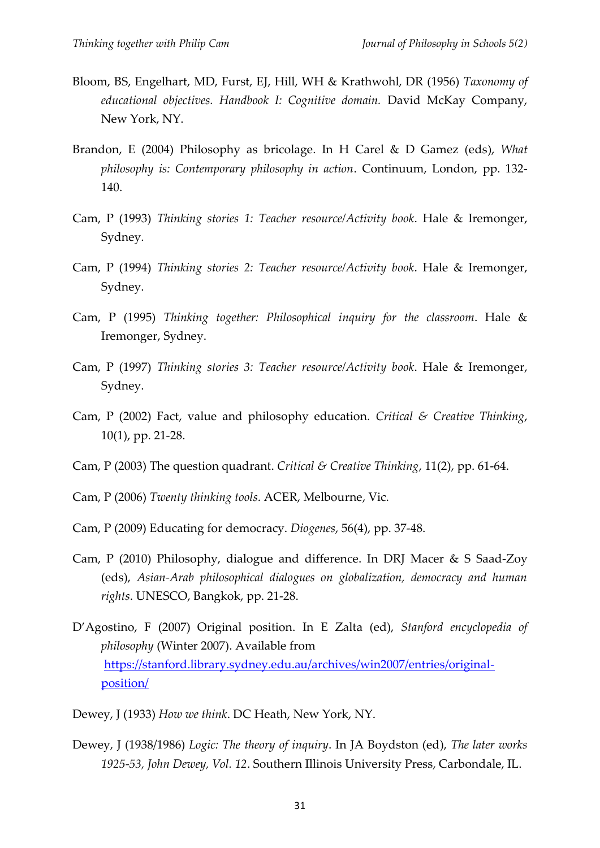- Bloom, BS, Engelhart, MD, Furst, EJ, Hill, WH & Krathwohl, DR (1956) *Taxonomy of educational objectives. Handbook I: Cognitive domain.* David McKay Company, New York, NY.
- Brandon, E (2004) Philosophy as bricolage. In H Carel & D Gamez (eds), *What philosophy is: Contemporary philosophy in action*. Continuum, London, pp. 132- 140.
- Cam, P (1993) *Thinking stories 1: Teacher resource/Activity book*. Hale & Iremonger, Sydney.
- Cam, P (1994) *Thinking stories 2: Teacher resource/Activity book*. Hale & Iremonger, Sydney.
- Cam, P (1995) *Thinking together: Philosophical inquiry for the classroom*. Hale & Iremonger, Sydney.
- Cam, P (1997) *Thinking stories 3: Teacher resource/Activity book*. Hale & Iremonger, Sydney.
- Cam, P (2002) Fact, value and philosophy education. *Critical & Creative Thinking*, 10(1), pp. 21-28.
- Cam, P (2003) The question quadrant. *Critical & Creative Thinking*, 11(2), pp. 61-64.
- Cam, P (2006) *Twenty thinking tools*. ACER, Melbourne, Vic.
- Cam, P (2009) Educating for democracy. *Diogenes*, 56(4), pp. 37-48.
- Cam, P (2010) Philosophy, dialogue and difference. In DRJ Macer & S Saad-Zoy (eds), *Asian-Arab philosophical dialogues on globalization, democracy and human rights*. UNESCO, Bangkok, pp. 21-28.
- D'Agostino, F (2007) Original position. In E Zalta (ed), *Stanford encyclopedia of philosophy* (Winter 2007). Available from [https://stanford.library.sydney.edu.au/archives/win2007/entries/original](https://stanford.library.sydney.edu.au/archives/win2007/entries/original-position/)[position/](https://stanford.library.sydney.edu.au/archives/win2007/entries/original-position/)
- Dewey, J (1933) *How we think*. DC Heath, New York, NY.
- Dewey, J (1938/1986) *Logic: The theory of inquiry*. In JA Boydston (ed), *The later works 1925-53, John Dewey, Vol. 12*. Southern Illinois University Press, Carbondale, IL.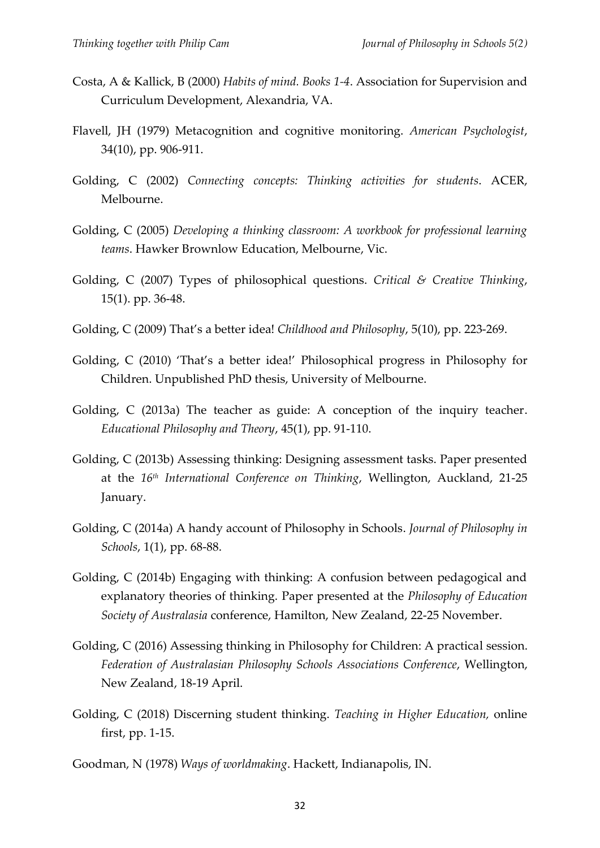- Costa, A & Kallick, B (2000) *Habits of mind. Books 1-4*. Association for Supervision and Curriculum Development, Alexandria, VA.
- Flavell, JH (1979) Metacognition and cognitive monitoring. *American Psychologist*, 34(10), pp. 906-911.
- Golding, C (2002) *Connecting concepts: Thinking activities for students*. ACER, Melbourne.
- Golding, C (2005) *Developing a thinking classroom: A workbook for professional learning teams*. Hawker Brownlow Education, Melbourne, Vic.
- Golding, C (2007) Types of philosophical questions. *Critical & Creative Thinking*, 15(1). pp. 36-48.
- Golding, C (2009) That's a better idea! *Childhood and Philosophy*, 5(10), pp. 223-269.
- Golding, C (2010) 'That's a better idea!' Philosophical progress in Philosophy for Children. Unpublished PhD thesis, University of Melbourne.
- Golding, C (2013a) The teacher as guide: A conception of the inquiry teacher. *Educational Philosophy and Theory*, 45(1), pp. 91-110.
- Golding, C (2013b) Assessing thinking: Designing assessment tasks. Paper presented at the *16th International Conference on Thinking*, Wellington, Auckland, 21-25 January.
- Golding, C (2014a) A handy account of Philosophy in Schools. *Journal of Philosophy in Schools*, 1(1), pp. 68-88.
- Golding, C (2014b) Engaging with thinking: A confusion between pedagogical and explanatory theories of thinking. Paper presented at the *Philosophy of Education Society of Australasia* conference, Hamilton, New Zealand, 22-25 November.
- Golding, C (2016) Assessing thinking in Philosophy for Children: A practical session. *Federation of Australasian Philosophy Schools Associations Conference*, Wellington, New Zealand, 18-19 April.
- Golding, C (2018) Discerning student thinking. *Teaching in Higher Education,* online first, pp. 1-15.
- Goodman, N (1978) *Ways of worldmaking*. Hackett, Indianapolis, IN.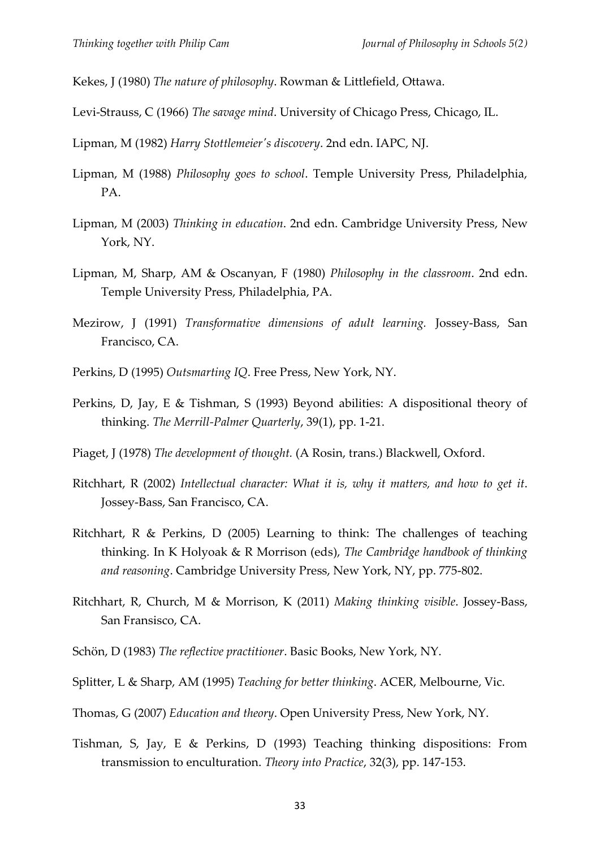Kekes, J (1980) *The nature of philosophy*. Rowman & Littlefield, Ottawa.

Levi-Strauss, C (1966) *The savage mind*. University of Chicago Press, Chicago, IL.

Lipman, M (1982) *Harry Stottlemeier's discovery*. 2nd edn. IAPC, NJ.

- Lipman, M (1988) *Philosophy goes to school*. Temple University Press, Philadelphia, PA.
- Lipman, M (2003) *Thinking in education*. 2nd edn. Cambridge University Press, New York, NY.
- Lipman, M, Sharp, AM & Oscanyan, F (1980) *Philosophy in the classroom*. 2nd edn. Temple University Press, Philadelphia, PA.
- Mezirow, J (1991) *Transformative dimensions of adult learning.* Jossey-Bass, San Francisco, CA.
- Perkins, D (1995) *Outsmarting IQ*. Free Press, New York, NY.
- Perkins, D, Jay, E & Tishman, S (1993) Beyond abilities: A dispositional theory of thinking. *The Merrill-Palmer Quarterly*, 39(1), pp. 1-21.
- Piaget, J (1978) *The development of thought.* (A Rosin, trans.) Blackwell, Oxford.
- Ritchhart, R (2002) *Intellectual character: What it is, why it matters, and how to get it*. Jossey-Bass, San Francisco, CA.
- Ritchhart, R & Perkins, D (2005) Learning to think: The challenges of teaching thinking. In K Holyoak & R Morrison (eds), *The Cambridge handbook of thinking and reasoning*. Cambridge University Press, New York, NY, pp. 775-802.
- Ritchhart, R, Church, M & Morrison, K (2011) *Making thinking visible*. Jossey-Bass, San Fransisco, CA.
- Schön, D (1983) *The reflective practitioner*. Basic Books, New York, NY.
- Splitter, L & Sharp, AM (1995) *Teaching for better thinking*. ACER, Melbourne, Vic.
- Thomas, G (2007) *Education and theory*. Open University Press, New York, NY.
- Tishman, S, Jay, E & Perkins, D (1993) Teaching thinking dispositions: From transmission to enculturation. *Theory into Practice*, 32(3), pp. 147-153.